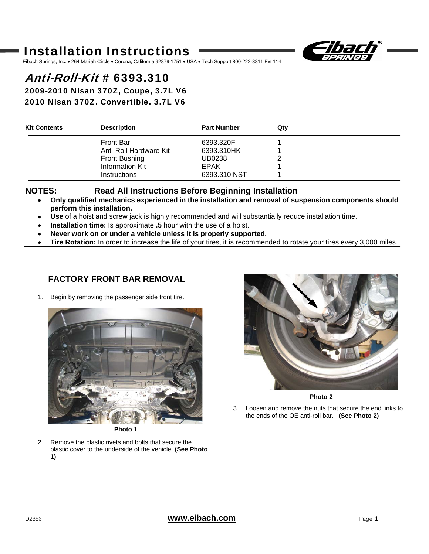# Installation Instructions



Eibach Springs, Inc. • 264 Mariah Circle • Corona, California 92879-1751 • USA • Tech Support 800-222-8811 Ext 114

# Anti-Roll-Kit # 6393.310

2009-2010 Nisan 370Z, Coupe, 3.7L V6 2010 Nisan 370Z, Convertible, 3.7L V6

| <b>Kit Contents</b> | <b>Description</b>     | <b>Part Number</b> | Qtv |  |
|---------------------|------------------------|--------------------|-----|--|
|                     | <b>Front Bar</b>       | 6393.320F          |     |  |
|                     | Anti-Roll Hardware Kit | 6393.310HK         |     |  |
|                     | Front Bushing          | UB0238             |     |  |
|                     | Information Kit        | <b>EPAK</b>        |     |  |
|                     | <b>Instructions</b>    | 6393.310INST       |     |  |

### **NOTES: Read All Instructions Before Beginning Installation**

- • **Only qualified mechanics experienced in the installation and removal of suspension components should perform this installation.**
- • **Use** of a hoist and screw jack is highly recommended and will substantially reduce installation time.
- • **Installation time:** Is approximate **.5** hour with the use of a hoist.
- • **Never work on or under a vehicle unless it is properly supported.**
- • **Tire Rotation:** In order to increase the life of your tires, it is recommended to rotate your tires every 3,000 miles.

## **FACTORY FRONT BAR REMOVAL**

1. Begin by removing the passenger side front tire.



**Photo 1** 

2. Remove the plastic rivets and bolts that secure the plastic cover to the underside of the vehicle **(See Photo 1)**



**Photo 2** 

3. Loosen and remove the nuts that secure the end links to the ends of the OE anti-roll bar. **(See Photo 2)**